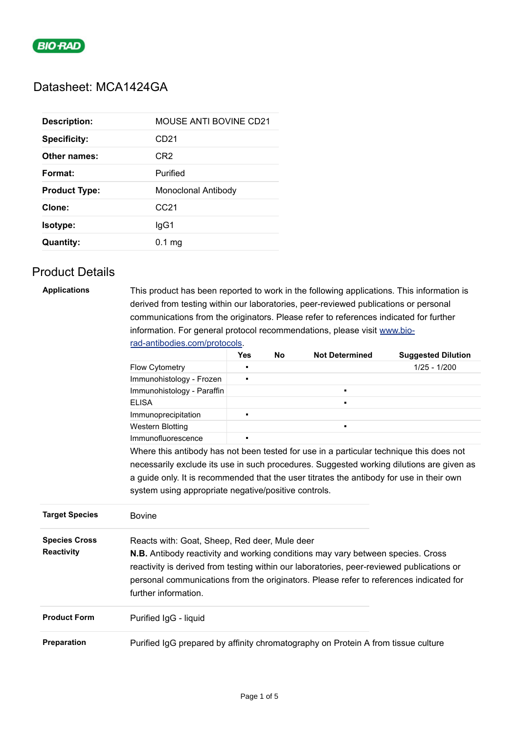

## Datasheet: MCA1424GA

| <b>Description:</b>  | MOUSE ANTI BOVINE CD21 |
|----------------------|------------------------|
| <b>Specificity:</b>  | CD <sub>21</sub>       |
| Other names:         | CR <sub>2</sub>        |
| Format:              | Purified               |
| <b>Product Type:</b> | Monoclonal Antibody    |
| Clone:               | CC21                   |
| Isotype:             | lgG1                   |
| <b>Quantity:</b>     |                        |

## Product Details

| <b>Applications</b> | This product has been reported to work in the following applications. This information is |
|---------------------|-------------------------------------------------------------------------------------------|
|                     | derived from testing within our laboratories, peer-reviewed publications or personal      |
|                     | communications from the originators. Please refer to references indicated for further     |
|                     | information. For general protocol recommendations, please visit www.bio-                  |
|                     | rad-antibodies.com/protocols                                                              |

|                                           |                                                                                                                                                                                                                                                                                                                                                        | <b>Yes</b> | <b>No</b> | <b>Not Determined</b> | <b>Suggested Dilution</b> |
|-------------------------------------------|--------------------------------------------------------------------------------------------------------------------------------------------------------------------------------------------------------------------------------------------------------------------------------------------------------------------------------------------------------|------------|-----------|-----------------------|---------------------------|
|                                           | Flow Cytometry                                                                                                                                                                                                                                                                                                                                         | п          |           |                       | $1/25 - 1/200$            |
|                                           | Immunohistology - Frozen                                                                                                                                                                                                                                                                                                                               | ٠          |           |                       |                           |
|                                           | Immunohistology - Paraffin                                                                                                                                                                                                                                                                                                                             |            |           | $\blacksquare$        |                           |
|                                           | <b>ELISA</b>                                                                                                                                                                                                                                                                                                                                           |            |           | $\blacksquare$        |                           |
|                                           | Immunoprecipitation                                                                                                                                                                                                                                                                                                                                    | ٠          |           |                       |                           |
|                                           | <b>Western Blotting</b>                                                                                                                                                                                                                                                                                                                                |            |           | $\blacksquare$        |                           |
|                                           | Immunofluorescence                                                                                                                                                                                                                                                                                                                                     | ٠          |           |                       |                           |
|                                           | Where this antibody has not been tested for use in a particular technique this does not<br>necessarily exclude its use in such procedures. Suggested working dilutions are given as<br>a guide only. It is recommended that the user titrates the antibody for use in their own<br>system using appropriate negative/positive controls.                |            |           |                       |                           |
| <b>Target Species</b>                     | <b>Bovine</b>                                                                                                                                                                                                                                                                                                                                          |            |           |                       |                           |
| <b>Species Cross</b><br><b>Reactivity</b> | Reacts with: Goat, Sheep, Red deer, Mule deer<br><b>N.B.</b> Antibody reactivity and working conditions may vary between species. Cross<br>reactivity is derived from testing within our laboratories, peer-reviewed publications or<br>personal communications from the originators. Please refer to references indicated for<br>further information. |            |           |                       |                           |
| <b>Product Form</b>                       | Purified IgG - liquid                                                                                                                                                                                                                                                                                                                                  |            |           |                       |                           |
| <b>Preparation</b>                        | Purified IgG prepared by affinity chromatography on Protein A from tissue culture                                                                                                                                                                                                                                                                      |            |           |                       |                           |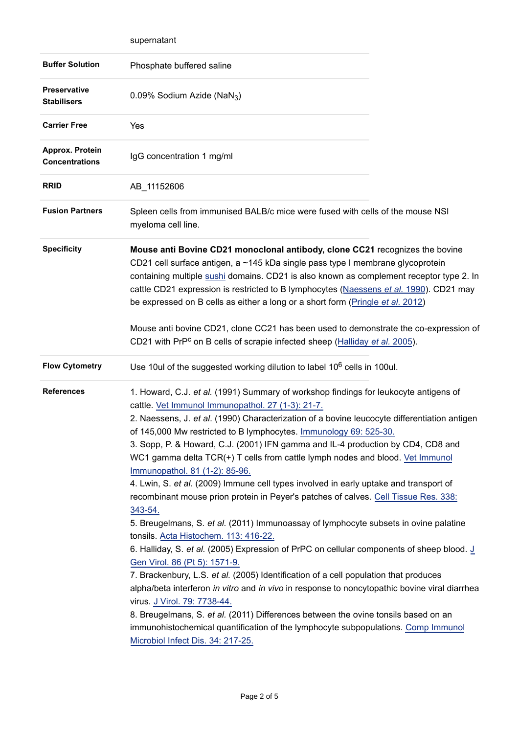|                                           | supernatant                                                                                                                                                                                                                                                                                                                                                                                                                                                                                                                                                                                                                                                                                                                                                                                                                                                                                                                                                                                                                                                                                                                                                                                                                                                                                                                                                                                                             |  |
|-------------------------------------------|-------------------------------------------------------------------------------------------------------------------------------------------------------------------------------------------------------------------------------------------------------------------------------------------------------------------------------------------------------------------------------------------------------------------------------------------------------------------------------------------------------------------------------------------------------------------------------------------------------------------------------------------------------------------------------------------------------------------------------------------------------------------------------------------------------------------------------------------------------------------------------------------------------------------------------------------------------------------------------------------------------------------------------------------------------------------------------------------------------------------------------------------------------------------------------------------------------------------------------------------------------------------------------------------------------------------------------------------------------------------------------------------------------------------------|--|
| <b>Buffer Solution</b>                    | Phosphate buffered saline                                                                                                                                                                                                                                                                                                                                                                                                                                                                                                                                                                                                                                                                                                                                                                                                                                                                                                                                                                                                                                                                                                                                                                                                                                                                                                                                                                                               |  |
| <b>Preservative</b><br><b>Stabilisers</b> | 0.09% Sodium Azide (NaN <sub>3</sub> )                                                                                                                                                                                                                                                                                                                                                                                                                                                                                                                                                                                                                                                                                                                                                                                                                                                                                                                                                                                                                                                                                                                                                                                                                                                                                                                                                                                  |  |
| <b>Carrier Free</b>                       | Yes                                                                                                                                                                                                                                                                                                                                                                                                                                                                                                                                                                                                                                                                                                                                                                                                                                                                                                                                                                                                                                                                                                                                                                                                                                                                                                                                                                                                                     |  |
| Approx. Protein<br><b>Concentrations</b>  | IgG concentration 1 mg/ml                                                                                                                                                                                                                                                                                                                                                                                                                                                                                                                                                                                                                                                                                                                                                                                                                                                                                                                                                                                                                                                                                                                                                                                                                                                                                                                                                                                               |  |
| <b>RRID</b>                               | AB_11152606                                                                                                                                                                                                                                                                                                                                                                                                                                                                                                                                                                                                                                                                                                                                                                                                                                                                                                                                                                                                                                                                                                                                                                                                                                                                                                                                                                                                             |  |
| <b>Fusion Partners</b>                    | Spleen cells from immunised BALB/c mice were fused with cells of the mouse NSI<br>myeloma cell line.                                                                                                                                                                                                                                                                                                                                                                                                                                                                                                                                                                                                                                                                                                                                                                                                                                                                                                                                                                                                                                                                                                                                                                                                                                                                                                                    |  |
| <b>Specificity</b>                        | Mouse anti Bovine CD21 monoclonal antibody, clone CC21 recognizes the bovine<br>CD21 cell surface antigen, a ~145 kDa single pass type I membrane glycoprotein<br>containing multiple sushi domains. CD21 is also known as complement receptor type 2. In<br>cattle CD21 expression is restricted to B lymphocytes (Naessens et al. 1990). CD21 may<br>be expressed on B cells as either a long or a short form (Pringle et al. 2012)<br>Mouse anti bovine CD21, clone CC21 has been used to demonstrate the co-expression of<br>CD21 with PrP <sup>c</sup> on B cells of scrapie infected sheep (Halliday et al. 2005).                                                                                                                                                                                                                                                                                                                                                                                                                                                                                                                                                                                                                                                                                                                                                                                                |  |
| <b>Flow Cytometry</b>                     | Use 10ul of the suggested working dilution to label 10 <sup>6</sup> cells in 100ul.                                                                                                                                                                                                                                                                                                                                                                                                                                                                                                                                                                                                                                                                                                                                                                                                                                                                                                                                                                                                                                                                                                                                                                                                                                                                                                                                     |  |
| <b>References</b>                         | 1. Howard, C.J. et al. (1991) Summary of workshop findings for leukocyte antigens of<br>cattle. Vet Immunol Immunopathol. 27 (1-3): 21-7.<br>2. Naessens, J. et al. (1990) Characterization of a bovine leucocyte differentiation antigen<br>of 145,000 Mw restricted to B lymphocytes. Immunology 69: 525-30.<br>3. Sopp, P. & Howard, C.J. (2001) IFN gamma and IL-4 production by CD4, CD8 and<br>WC1 gamma delta TCR(+) T cells from cattle lymph nodes and blood. Vet Immunol<br>Immunopathol. 81 (1-2): 85-96.<br>4. Lwin, S. et al. (2009) Immune cell types involved in early uptake and transport of<br>recombinant mouse prion protein in Peyer's patches of calves. Cell Tissue Res. 338:<br>343-54.<br>5. Breugelmans, S. et al. (2011) Immunoassay of lymphocyte subsets in ovine palatine<br>tonsils. Acta Histochem. 113: 416-22.<br>6. Halliday, S. et al. (2005) Expression of PrPC on cellular components of sheep blood. J<br>Gen Virol. 86 (Pt 5): 1571-9.<br>7. Brackenbury, L.S. et al. (2005) Identification of a cell population that produces<br>alpha/beta interferon in vitro and in vivo in response to noncytopathic bovine viral diarrhea<br>virus. J Virol. 79: 7738-44.<br>8. Breugelmans, S. et al. (2011) Differences between the ovine tonsils based on an<br>immunohistochemical quantification of the lymphocyte subpopulations. Comp Immunol<br>Microbiol Infect Dis. 34: 217-25. |  |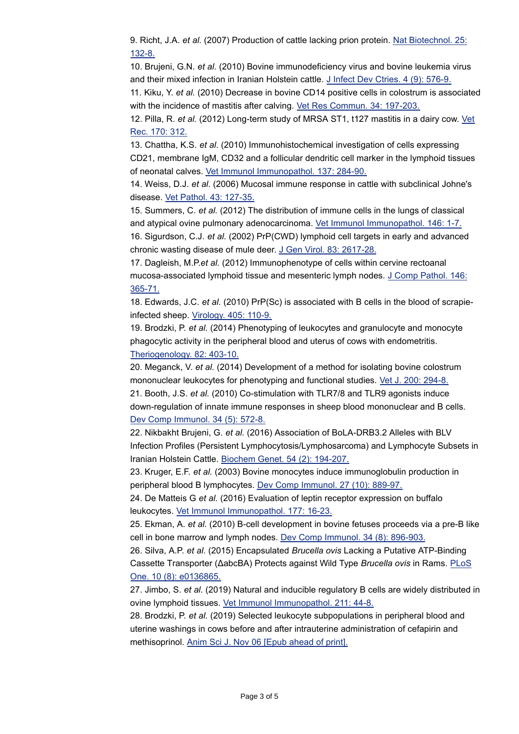9. Richt, J.A. *et al.* (2007) Production of cattle lacking prion protein. [Nat Biotechnol. 25:](http://www.ncbi.nlm.nih.gov/pubmed/17195841) 132-8.

10. Brujeni, G.N. *et al.* (2010) Bovine immunodeficiency virus and bovine leukemia virus and their mixed infection in Iranian Holstein cattle. [J Infect Dev Ctries. 4 \(9\): 576-9.](http://www.ncbi.nlm.nih.gov/pubmed/21045371)

11. Kiku, Y. *et al.* (2010) Decrease in bovine CD14 positive cells in colostrum is associated with the incidence of mastitis after calving. [Vet Res Commun. 34: 197-203.](http://www.ncbi.nlm.nih.gov/pubmed/20077004)

12. Pilla, R. *et al.* (2012) Long-term study of MRSA ST1, t127 mastitis in a dairy cow. [Vet](http://www.ncbi.nlm.nih.gov/pubmed/22383329) Rec. 170: 312.

13. Chattha, K.S. *et al.* (2010) Immunohistochemical investigation of cells expressing CD21, membrane IgM, CD32 and a follicular dendritic cell marker in the lymphoid tissues of neonatal calves. [Vet Immunol Immunopathol. 137: 284-90.](http://www.ncbi.nlm.nih.gov/pubmed/20557949)

14. Weiss, D.J. *et al.* (2006) Mucosal immune response in cattle with subclinical Johne's disease. [Vet Pathol. 43: 127-35.](http://www.ncbi.nlm.nih.gov/pubmed/16537930)

15. Summers, C. *et al.* (2012) The distribution of immune cells in the lungs of classical and atypical ovine pulmonary adenocarcinoma. [Vet Immunol Immunopathol. 146: 1-7.](http://www.ncbi.nlm.nih.gov/pubmed/22341799)

16. Sigurdson, C.J. *et al.* (2002) PrP(CWD) lymphoid cell targets in early and advanced chronic wasting disease of mule deer. [J Gen Virol. 83: 2617-28.](http://www.ncbi.nlm.nih.gov/pubmed/12237446)

17. Dagleish, M.P.*et al.* (2012) Immunophenotype of cells within cervine rectoanal mucosa-associated lymphoid tissue and mesenteric lymph nodes. [J Comp Pathol. 146:](http://www.ncbi.nlm.nih.gov/pubmed/22000034) 365-71.

18. Edwards, J.C. *et al.* (2010) PrP(Sc) is associated with B cells in the blood of scrapieinfected sheep. [Virology. 405: 110-9.](http://www.ncbi.nlm.nih.gov/pubmed/20646730)

19. Brodzki, P. *et al.* (2014) Phenotyping of leukocytes and granulocyte and monocyte phagocytic activity in the peripheral blood and uterus of cows with endometritis. [Theriogenology. 82: 403-10.](http://www.ncbi.nlm.nih.gov/pubmed/24857644)

20. Meganck, V. *et al.* (2014) Development of a method for isolating bovine colostrum mononuclear leukocytes for phenotyping and functional studies. [Vet J. 200: 294-8.](http://www.ncbi.nlm.nih.gov/pubmed/24679458) 21. Booth, J.S. *et al.* (2010) Co-stimulation with TLR7/8 and TLR9 agonists induce down-regulation of innate immune responses in sheep blood mononuclear and B cells. [Dev Comp Immunol. 34 \(5\): 572-8.](http://www.ncbi.nlm.nih.gov/pubmed/20051250)

22. Nikbakht Brujeni, G. *et al.* (2016) Association of BoLA-DRB3.2 Alleles with BLV Infection Profiles (Persistent Lymphocytosis/Lymphosarcoma) and Lymphocyte Subsets in Iranian Holstein Cattle. [Biochem Genet. 54 \(2\): 194-207.](http://www.ncbi.nlm.nih.gov/pubmed/26782666)

23. Kruger, E.F. *et al.* (2003) Bovine monocytes induce immunoglobulin production in peripheral blood B lymphocytes. [Dev Comp Immunol. 27 \(10\): 889-97.](http://www.ncbi.nlm.nih.gov/pubmed/12880638)

24. De Matteis G *et al.* (2016) Evaluation of leptin receptor expression on buffalo leukocytes. [Vet Immunol Immunopathol. 177: 16-23.](http://www.ncbi.nlm.nih.gov/pubmed/27436440)

25. Ekman, A. *et al.* (2010) B-cell development in bovine fetuses proceeds via a pre-B like cell in bone marrow and lymph nodes. [Dev Comp Immunol. 34 \(8\): 896-903.](http://www.ncbi.nlm.nih.gov/pubmed/20380850)

26. Silva, A.P. *et al.* (2015) Encapsulated *Brucella ovis* Lacking a Putative ATP-Binding Cassette Transporter (ΔabcBA) Protects against Wild Type *Brucella ovis* in Rams. [PLoS](http://www.ncbi.nlm.nih.gov/pubmed/26317399) One. 10 (8): e0136865.

27. Jimbo, S. *et al.* (2019) Natural and inducible regulatory B cells are widely distributed in ovine lymphoid tissues. [Vet Immunol Immunopathol. 211: 44-8.](http://www.ncbi.nlm.nih.gov/pubmed/31084893)

28. Brodzki, P. *et al.* (2019) Selected leukocyte subpopulations in peripheral blood and uterine washings in cows before and after intrauterine administration of cefapirin and methisoprinol. [Anim Sci J. Nov 06 \[Epub ahead of print\].](http://www.ncbi.nlm.nih.gov/pubmed/31696608)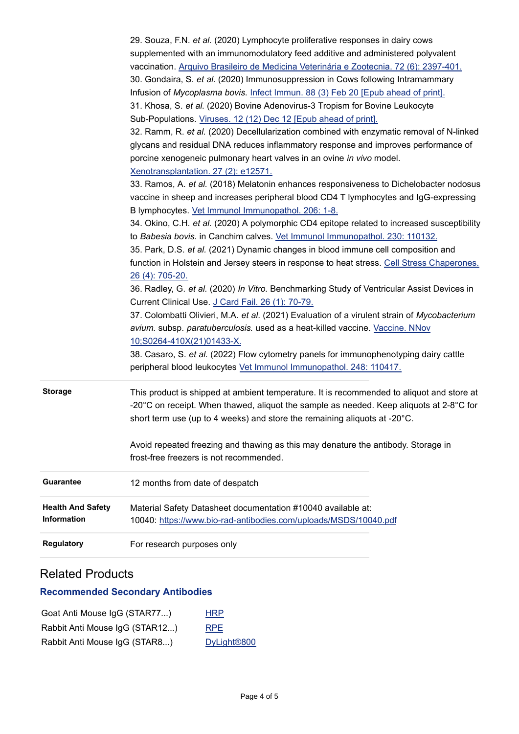|                          | 29. Souza, F.N. et al. (2020) Lymphocyte proliferative responses in dairy cows                                               |
|--------------------------|------------------------------------------------------------------------------------------------------------------------------|
|                          | supplemented with an immunomodulatory feed additive and administered polyvalent                                              |
|                          | vaccination. Arquivo Brasileiro de Medicina Veterinária e Zootecnia. 72 (6): 2397-401.                                       |
|                          | 30. Gondaira, S. et al. (2020) Immunosuppression in Cows following Intramammary                                              |
|                          | Infusion of Mycoplasma bovis. Infect Immun. 88 (3) Feb 20 [Epub ahead of print].                                             |
|                          | 31. Khosa, S. et al. (2020) Bovine Adenovirus-3 Tropism for Bovine Leukocyte                                                 |
|                          | Sub-Populations. Viruses. 12 (12) Dec 12 [Epub ahead of print].                                                              |
|                          | 32. Ramm, R. et al. (2020) Decellularization combined with enzymatic removal of N-linked                                     |
|                          | glycans and residual DNA reduces inflammatory response and improves performance of                                           |
|                          | porcine xenogeneic pulmonary heart valves in an ovine in vivo model.                                                         |
|                          | Xenotransplantation. 27 (2): e12571.                                                                                         |
|                          | 33. Ramos, A. et al. (2018) Melatonin enhances responsiveness to Dichelobacter nodosus                                       |
|                          | vaccine in sheep and increases peripheral blood CD4 T lymphocytes and IgG-expressing                                         |
|                          | B lymphocytes. Vet Immunol Immunopathol. 206: 1-8.                                                                           |
|                          | 34. Okino, C.H. et al. (2020) A polymorphic CD4 epitope related to increased susceptibility                                  |
|                          | to Babesia bovis. in Canchim calves. Vet Immunol Immunopathol. 230: 110132.                                                  |
|                          | 35. Park, D.S. et al. (2021) Dynamic changes in blood immune cell composition and                                            |
|                          | function in Holstein and Jersey steers in response to heat stress. Cell Stress Chaperones.                                   |
|                          | 26 (4): 705-20.                                                                                                              |
|                          | 36. Radley, G. et al. (2020) In Vitro. Benchmarking Study of Ventricular Assist Devices in                                   |
|                          | Current Clinical Use. J Card Fail. 26 (1): 70-79.                                                                            |
|                          | 37. Colombatti Olivieri, M.A. et al. (2021) Evaluation of a virulent strain of Mycobacterium                                 |
|                          | avium. subsp. paratuberculosis. used as a heat-killed vaccine. Vaccine. NNov                                                 |
|                          | 10;S0264-410X(21)01433-X.                                                                                                    |
|                          | 38. Casaro, S. et al. (2022) Flow cytometry panels for immunophenotyping dairy cattle                                        |
|                          | peripheral blood leukocytes Vet Immunol Immunopathol. 248: 110417.                                                           |
|                          |                                                                                                                              |
| <b>Storage</b>           | This product is shipped at ambient temperature. It is recommended to aliquot and store at                                    |
|                          | -20 $^{\circ}$ C on receipt. When thawed, aliquot the sample as needed. Keep aliquots at 2-8 $^{\circ}$ C for                |
|                          | short term use (up to 4 weeks) and store the remaining aliquots at -20°C.                                                    |
|                          |                                                                                                                              |
|                          | Avoid repeated freezing and thawing as this may denature the antibody. Storage in<br>frost-free freezers is not recommended. |
|                          |                                                                                                                              |
| Guarantee                | 12 months from date of despatch                                                                                              |
| <b>Health And Safety</b> | Material Safety Datasheet documentation #10040 available at:                                                                 |
| Information              | 10040: https://www.bio-rad-antibodies.com/uploads/MSDS/10040.pdf                                                             |
| <b>Regulatory</b>        | For research purposes only                                                                                                   |

## Related Products

## **Recommended Secondary Antibodies**

| Goat Anti Mouse IgG (STAR77)   | <b>HRP</b>              |
|--------------------------------|-------------------------|
| Rabbit Anti Mouse IgG (STAR12) | <b>RPE</b>              |
| Rabbit Anti Mouse IgG (STAR8)  | DyLight <sup>®800</sup> |